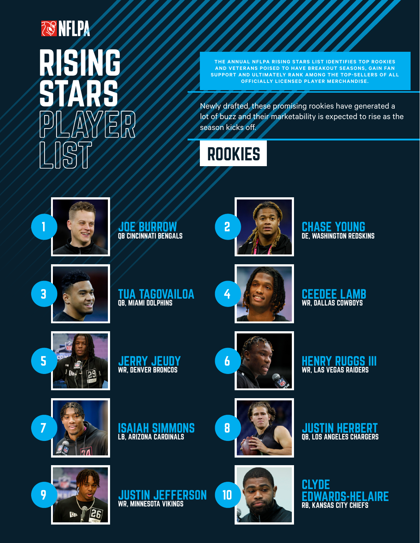## **TO NELPA** RISING<br>STARS **IS**

**THE ANNUAL NFLPA RISING STARS LIST IDENTIFIES TOP ROOKIES AND VETERANS POISED TO HAVE BREAKOUT SEASONS, GAIN FAN SUPPORT AND ULTIMATELY RANK AMONG THE TOP-SELLERS OF ALL OFFICIALLY LICENSED PLAYER MERCHANDISE.**

Newly drafted, these promising rookies have generated a lot of buzz and their marketability is expected to rise as the season kicks off.

## **ROOKIES**



JOE BURROW QB CINCINNATI BENGALS



DE, WASHINGTON REDSKINS







**CEEDEE LAMB**<br>WR, DALLAS COWBOYS



9





LB, ARIZONA CARDINALS



8

WR, LAS VEGAS RAIDERS

**7 JUSTIN HERBERT JUSTIN HERBERT**<br>QB, LOS ANGELES CHARGERS





**CLYDE** EDWARDS-HELAIRE RB, KANSAS CITY CHIEFS